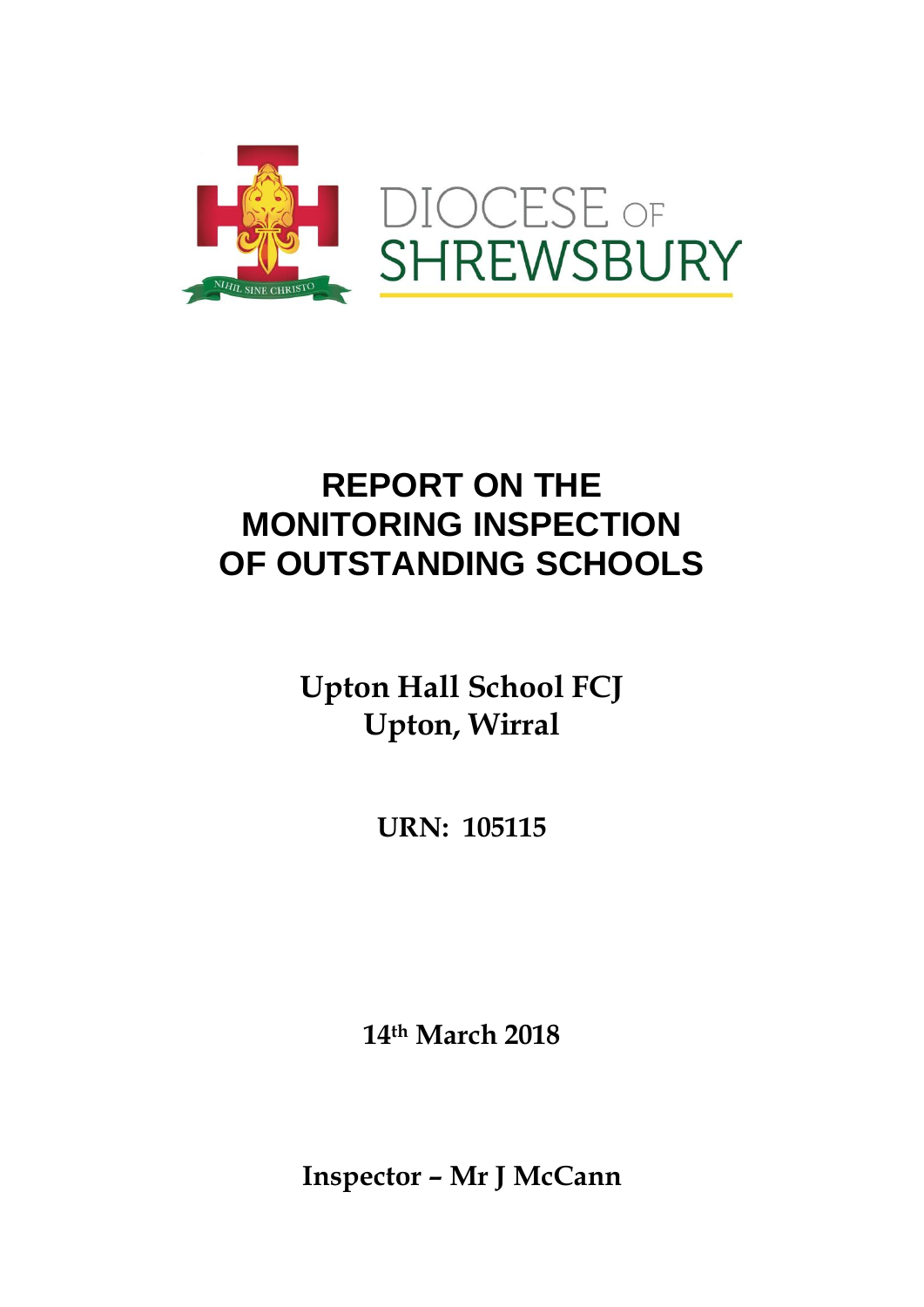

# **REPORT ON THE MONITORING INSPECTION OF OUTSTANDING SCHOOLS**

**Upton Hall School FCJ Upton, Wirral**

**URN: 105115**

**14 th March 2018**

**Inspector – Mr J McCann**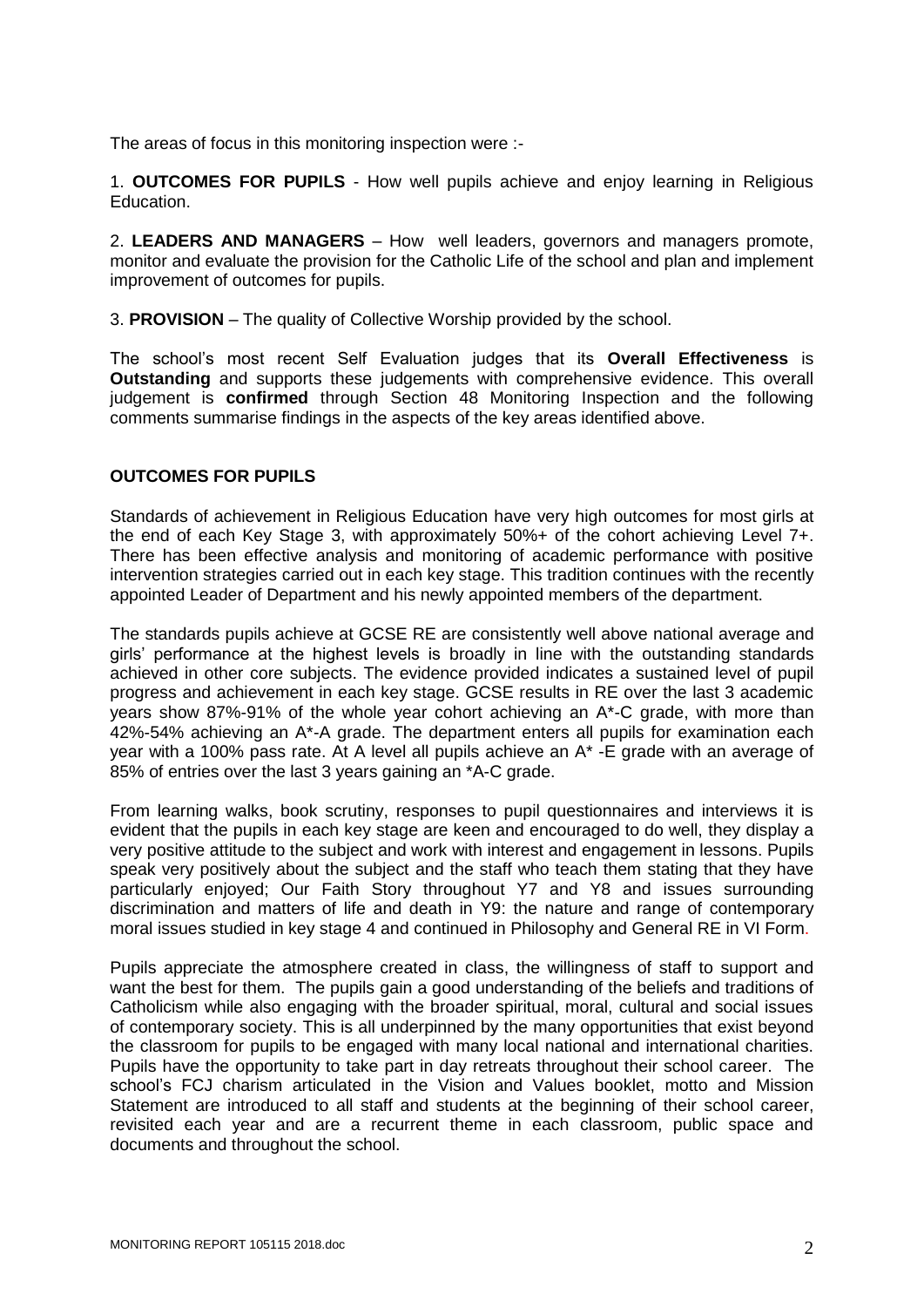The areas of focus in this monitoring inspection were :-

1. **OUTCOMES FOR PUPILS** - How well pupils achieve and enjoy learning in Religious Education.

2. **LEADERS AND MANAGERS** – How well leaders, governors and managers promote, monitor and evaluate the provision for the Catholic Life of the school and plan and implement improvement of outcomes for pupils.

3. **PROVISION** – The quality of Collective Worship provided by the school.

The school's most recent Self Evaluation judges that its **Overall Effectiveness** is **Outstanding** and supports these judgements with comprehensive evidence. This overall judgement is **confirmed** through Section 48 Monitoring Inspection and the following comments summarise findings in the aspects of the key areas identified above.

### **OUTCOMES FOR PUPILS**

Standards of achievement in Religious Education have very high outcomes for most girls at the end of each Key Stage 3, with approximately 50%+ of the cohort achieving Level 7+. There has been effective analysis and monitoring of academic performance with positive intervention strategies carried out in each key stage. This tradition continues with the recently appointed Leader of Department and his newly appointed members of the department.

The standards pupils achieve at GCSE RE are consistently well above national average and girls' performance at the highest levels is broadly in line with the outstanding standards achieved in other core subjects. The evidence provided indicates a sustained level of pupil progress and achievement in each key stage. GCSE results in RE over the last 3 academic years show 87%-91% of the whole year cohort achieving an A\*-C grade, with more than 42%-54% achieving an A\*-A grade. The department enters all pupils for examination each year with a 100% pass rate. At A level all pupils achieve an A\* -E grade with an average of 85% of entries over the last 3 years gaining an \*A-C grade.

From learning walks, book scrutiny, responses to pupil questionnaires and interviews it is evident that the pupils in each key stage are keen and encouraged to do well, they display a very positive attitude to the subject and work with interest and engagement in lessons. Pupils speak very positively about the subject and the staff who teach them stating that they have particularly enjoyed; Our Faith Story throughout Y7 and Y8 and issues surrounding discrimination and matters of life and death in Y9: the nature and range of contemporary moral issues studied in key stage 4 and continued in Philosophy and General RE in VI Form.

Pupils appreciate the atmosphere created in class, the willingness of staff to support and want the best for them. The pupils gain a good understanding of the beliefs and traditions of Catholicism while also engaging with the broader spiritual, moral, cultural and social issues of contemporary society. This is all underpinned by the many opportunities that exist beyond the classroom for pupils to be engaged with many local national and international charities. Pupils have the opportunity to take part in day retreats throughout their school career. The school's FCJ charism articulated in the Vision and Values booklet, motto and Mission Statement are introduced to all staff and students at the beginning of their school career, revisited each year and are a recurrent theme in each classroom, public space and documents and throughout the school.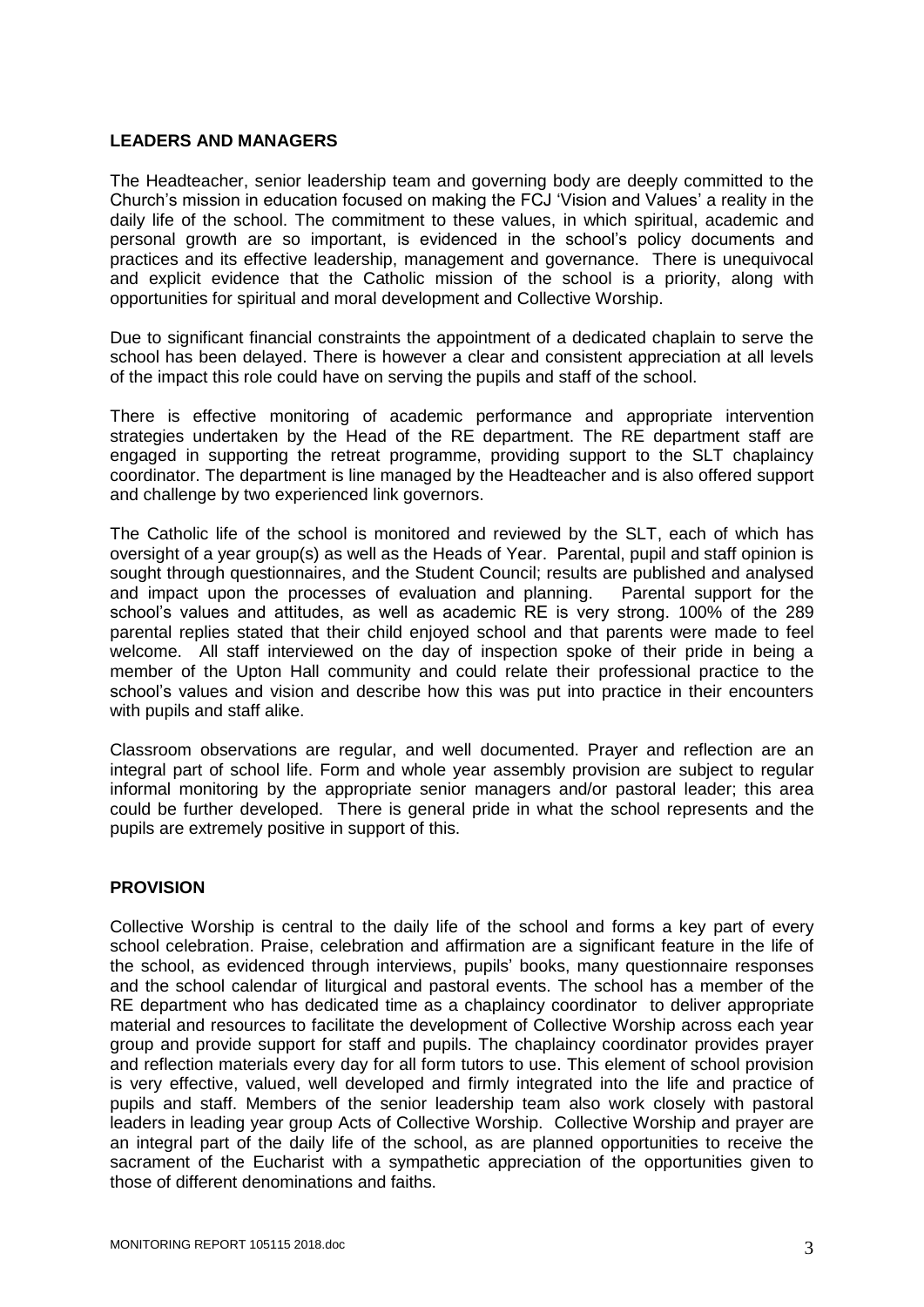### **LEADERS AND MANAGERS**

The Headteacher, senior leadership team and governing body are deeply committed to the Church's mission in education focused on making the FCJ 'Vision and Values' a reality in the daily life of the school. The commitment to these values, in which spiritual, academic and personal growth are so important, is evidenced in the school's policy documents and practices and its effective leadership, management and governance. There is unequivocal and explicit evidence that the Catholic mission of the school is a priority, along with opportunities for spiritual and moral development and Collective Worship.

Due to significant financial constraints the appointment of a dedicated chaplain to serve the school has been delayed. There is however a clear and consistent appreciation at all levels of the impact this role could have on serving the pupils and staff of the school.

There is effective monitoring of academic performance and appropriate intervention strategies undertaken by the Head of the RE department. The RE department staff are engaged in supporting the retreat programme, providing support to the SLT chaplaincy coordinator. The department is line managed by the Headteacher and is also offered support and challenge by two experienced link governors.

The Catholic life of the school is monitored and reviewed by the SLT, each of which has oversight of a year group(s) as well as the Heads of Year. Parental, pupil and staff opinion is sought through questionnaires, and the Student Council; results are published and analysed and impact upon the processes of evaluation and planning. Parental support for the school's values and attitudes, as well as academic RE is very strong. 100% of the 289 parental replies stated that their child enjoyed school and that parents were made to feel welcome. All staff interviewed on the day of inspection spoke of their pride in being a member of the Upton Hall community and could relate their professional practice to the school's values and vision and describe how this was put into practice in their encounters with pupils and staff alike.

Classroom observations are regular, and well documented. Prayer and reflection are an integral part of school life. Form and whole year assembly provision are subject to regular informal monitoring by the appropriate senior managers and/or pastoral leader; this area could be further developed. There is general pride in what the school represents and the pupils are extremely positive in support of this.

# **PROVISION**

Collective Worship is central to the daily life of the school and forms a key part of every school celebration. Praise, celebration and affirmation are a significant feature in the life of the school, as evidenced through interviews, pupils' books, many questionnaire responses and the school calendar of liturgical and pastoral events. The school has a member of the RE department who has dedicated time as a chaplaincy coordinator to deliver appropriate material and resources to facilitate the development of Collective Worship across each year group and provide support for staff and pupils. The chaplaincy coordinator provides prayer and reflection materials every day for all form tutors to use. This element of school provision is very effective, valued, well developed and firmly integrated into the life and practice of pupils and staff. Members of the senior leadership team also work closely with pastoral leaders in leading year group Acts of Collective Worship. Collective Worship and prayer are an integral part of the daily life of the school, as are planned opportunities to receive the sacrament of the Eucharist with a sympathetic appreciation of the opportunities given to those of different denominations and faiths.